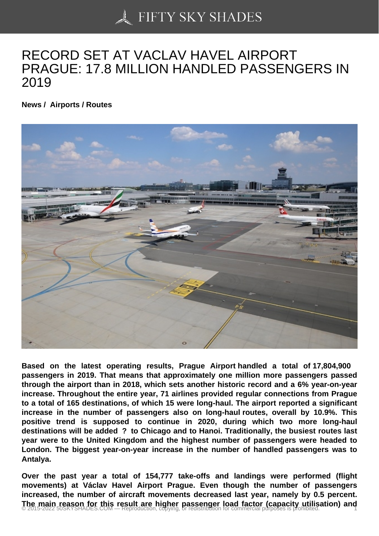## [RECORD SET AT VAC](https://50skyshades.com)LAV HAVEL AIRPORT PRAGUE: 17.8 MILLION HANDLED PASSENGERS IN 2019

News / Airports / Routes

Based on the latest operating results, Prague Airport handled a total of 17,804,900 passengers in 2019. That means that approximately one million more passengers passed through the airport than in 2018, which sets another historic record and a 6% year-on-year increase. Throughout the entire year, 71 airlines provided regular connections from Prague to a total of 165 destinations, of which 15 were long-haul. The airport reported a significant increase in the number of passengers also on long-haul routes, overall by 10.9%. This positive trend is supposed to continue in 2020, during which two more long-haul destinations will be added ? to Chicago and to Hanoi. Traditionally, the busiest routes last year were to the United Kingdom and the highest number of passengers were headed to London. The biggest year-on-year increase in the number of handled passengers was to Antalya.

Over the past year a total of 154,777 take-offs and landings were performed (flight movements) at Václav Havel Airport Prague. Even though the number of passengers increased, the number of aircraft movements decreased last year, namely by 0.5 percent. The main reason for this result are higher passenger load factor (capacity utilisation) and  $\degree$  2015-2022 50SKYSHADES.COM — Reproduction copying, or redistribution for commercial purposes is prohibited.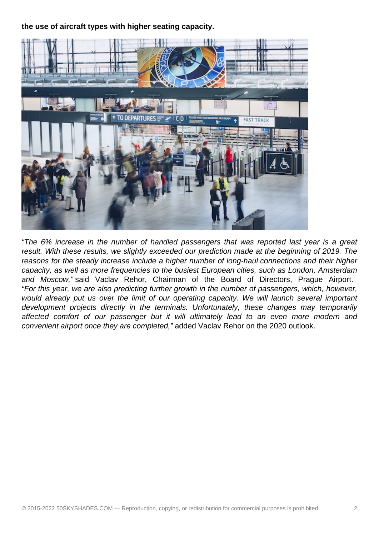**the use of aircraft types with higher seating capacity.**



"The 6% increase in the number of handled passengers that was reported last year is a great result. With these results, we slightly exceeded our prediction made at the beginning of 2019. The reasons for the steady increase include a higher number of long-haul connections and their higher capacity, as well as more frequencies to the busiest European cities, such as London, Amsterdam and Moscow," said Vaclav Rehor, Chairman of the Board of Directors, Prague Airport. "For this year, we are also predicting further growth in the number of passengers, which, however, would already put us over the limit of our operating capacity. We will launch several important development projects directly in the terminals. Unfortunately, these changes may temporarily affected comfort of our passenger but it will ultimately lead to an even more modern and convenient airport once they are completed," added Vaclav Rehor on the 2020 outlook.